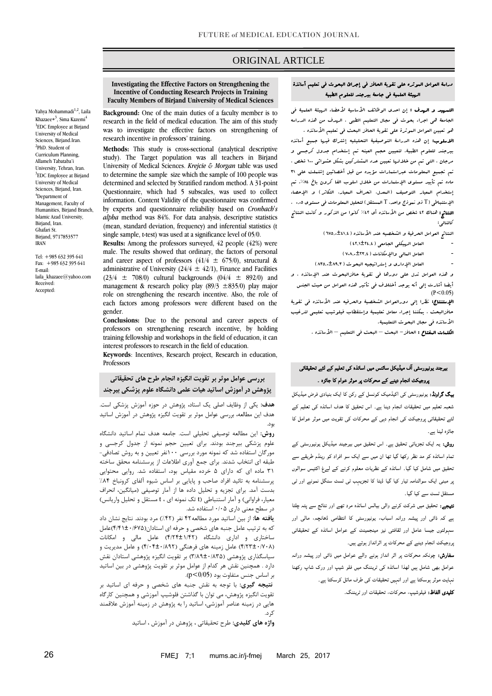# ORIGINAL ARTICLE

**Investigating the Effective Factors on Strengthening the Incentive of Conducting Research Projects in Training Faculty Members of Birjand University of Medical Sciences**

**Background:** One of the main duties of a faculty member is to research in the field of medical education. The aim of this study was to investigate the effective factors on strengthening of research incentive in professors' training.

**Methods:** This study is cross-sectional (analytical descriptive study). The Target population was all teachers in Birjand University of Medical Sciences. *Krejcie & Morgan* table was used to determine the sample size which the sample of 100 people was determined and selected by Stratified random method. A 31-point Questionnaire, which had 5 subscales, was used to collect information. Content Validity of the questionnaire was confirmed by experts and questionnaire reliability based on *Cronbach's alpha* method was 84%. For data analysis, descriptive statistics (mean, standard deviation, frequency) and inferential statistics (t single sample, t-test) was used at a significance level of 05/0.

**Results:** Among the professors surveyed, 42 people (42%) were male. The results showed that ordinary, the factors of personal and career aspect of professors  $(41/4 \pm 675/0)$ , structural & administrative of University ( $24/4 \pm 42/1$ ), Finance and Facilities  $(23/4 \pm 708/0)$  cultural backgrounds  $(04/4 \pm 892/0)$  and management & research policy play (89/3  $\pm$ 835/0) play major role on strengthening the research incentive. Also, the role of each factors among professors were different based on the gender.

**Conclusions:** Due to the personal and career aspects of professors on strengthening research incentive, by holding training fellowship and workshops in the field of education, it can interest professors to research in the field of education.

**Keywords**: Incentives, Research project, Research in education, Professors

**بررسی عوامل موثر بر تقویت انگیزه انجام طرح های تحقیقاتی پژوهش در آموزش اساتید هیات علمی دانشگاه علوم پزشکی بیرجند**

**هدف:** یکی از وظایف اصلی یک استاد، پژوهش در حوزه آموزش پزشکی است. هدف این مطالعه، بررسی عوامل موثر بر تقویت انگیزه پژوهش در آموزش اساتید بود.

**روش:** این مطالعه توصیفی تحلیلی است. جامعه هدف تمام اساتید دانشگاه علوم پزشکی بیرجند بودند. برای تعیین حجم نمونه از جدول کرجسی و مورگان استفاده شد که نمونه مورد بررسی 011نفر تعیین و به روش تصادفی- طبقه ای انتخاب شدند. برای جمع آوری اطالعات از پرسشنامه محقق ساخته 10 ماده ای که دارای 5 خرده مقیاس بود، استفاده شد. روایی محتوایی پرسشنامه به تائید افراد صاحب و پایایی بر اساس شیوه آلفای کرونباخ %48 بدست آمد. برای تجزیه و تحلیل داده ها از آمار توصیفی )میانگین، انحراف معیار، فراوانی) و آمار استنباطی (t تک نمونه ای ، t مستقل و تحلیل واریانس) در سطح معنی داری 1/15 استفاده شد.

**یافته ها:** از بین اساتید مورد مطالعه84 نفر )%84( مرد بودند. نتایج نشان داد که به ترتیب عامل جنبه های شخصی و حرفه ای استادان)8/80±1/575(عامل ساختاری و اداری دانشگاه )8/48±0/84( عامل مالی و امکانات )8/41±1/714( عامل زمینه های فرهنگی )8/18±1/494( و عامل مدیریت و سیاسگذاری پژوهشی )1/49±1/415( بر تقویت انگیزه پژوهشی استادان نقش دارد . همچنین نقش هر کدام از عوامل موثر بر تقویت پژوهشی در بین اساتید بر اساس جنس متفاوت بود )0/05>p).

**نتیجه گیری:** با توجه به نقش جنبه های شخصی و حرفه ای اساتید بر تقویت انگیزه پژوهش، می توان با گذاشتن فلوشیپ آموزشی و همچنین کارگاه هایی در زمینه عناصر آموزشی، اساتید را به پژوهش در زمینه آموزش عالقمند کرد.

**واژه های کلیدی:** طرح تحقیقاتی ، پژوهش در آموزش ، اساتید

# دراسة العوامل الموثره علي تقویة الحافز في إجرائ البحوث في تعلیم أساتذة الهیئة العلمیة في جامعة بیرجند للعلوم الطبیة

ص

التس**هید و الهدف :** إن احدی الوظائف الأساسیة لأعضاء ال*هیئ*ة العلمیة ف<sub>ی</sub> الجامعة هي اجراء بحوث في مجال التعلیم الطبي ، الهدف من هذه الدراسه هو تعیین العوامل السوثرة على تقویة الحافز البحث في تعلیم الأساتذه . االسلوب: إن هذه الدراسة التوصیفیة التحلیلیه إشترک فیها جمیع أساتذه

بیرجند للعلوم الطبیة. لتعیین حجم العینه تم إستخدام جدول کرجسي و مرجان ، التي تم من خاللها تعیین عدد المشترکین بشکل عشوائي 011 شخص ، تم تجمیع المعلومات عبراستمارات مؤیده من قبل أخصائین إشتملت علي 10 ماده تم تأیید مستوی الإستمارات من خلال اسلوب الفا کرون باخ ۸۶٪. تم إستخدام المعیار التوصیف )المعدل، انحراف المعیار، التکاثر( و اإلحصاء اإلستنباطي )T ذو نموذج واحد، T المستقل( لتحلیل المعلومات في مستوی 1010 . النتائج: هناك ٤٢ شخص من الأساتذه أی ٤٢% کانوا من الذکور و کانت النتائج کالتالي:

النتائج العوامل الحرفیة و الشخصیه عند الأساتذه ( ٦٧٥..±٤١.٤)

- العامل الرسيکلي الجامعي ( ٤٢.٤٦٤ )
- العامل العال<sub>ى</sub> والإمكانات ( ٧٠٨<sub>٠</sub>٠±٢٣.٤ )
- العامل الإداری و إستراتیجیه البحوث ( ۸۳۵.۰±۸۳۵)

و هذه العوامل تدل علي دورها في تقویة حافزالبحوث عند اإلساتذه ، و أیضا أشارت إلي أنه یوجد أختالف في تأثیر هذه العوامل من حیث الجنس  $(P < 0.05)$ 

**الإستنتاج:** نظرا إل<sub>ى</sub> دورالعوامل الشخصیة والحرفیه عند الأساتذه ف<sub>ى</sub> تقویة حافزالبحث ، یمکننا إجراء معامل تعلیمیة وإستقطاب فیلوشیب تعلیمي لترغیب الأساتذه في مجال البحوث التعلیمیة.

**الکلمات المفتاح :** الحافز – البحث – البحث ف<sub>ى</sub> التعليم – الأساتذه .

# بیرجند یونیورسٹی آف میڈیکل سائنس میں اساتذہ کی تعلیم کے لئے تحقیقاتی پروجیکٹ انجام دینے کے محرکات پر موثر عوام کا جائزہ ۔

بیگ گراونڈ: یونیورسٹی کی اکیڈمیک کونسل کے رکن کا ایک بنیادی فرض میڈیکل شعبہ تعلیم میں تحقیقات انجام دینا ہے۔ اس تحقیق کا ھدف اساتذہ کی تعلیم کے لئے تحقیقاتی پروجيکٹ کی انجام دہی کے محرکات کی تقویت میں موثر عوامل کا جائزہ لینا ہے۔

روش: یہ ایک تجزیاتی تحقیق ہے۔ اس تحقیق میں بیرجیند میڈیکل یونیورسٹی کے تمام اساتذہ کو مد نظر رکھا گيا تھا ان میں سے ایک سو افراد کو رینڈم طریقے سے تحقیق میں شامل کیا گيا۔ اساتذہ کے نظریات معلوم کرنے کے لےغ اکتیس سوالوں پر مبنی ایک سوالنامہ تیار کیا گيا ڈیٹا کا تجزیہب ٹی ٹسٹ سنگل نمونے اور ٹی مستقل ٹسٹ سے کیا گيا۔

نتیجے: تحقیق میں شرکت کرنے والی بیالس اساتذہ مرد تھے اور نتائج سے پتہ چلتا ہے کہ ذاتی اور پیشہ ورانہ اسباب، یونیورسٹی کا انتظامی ڈھانچہ، مالی اور سہولتوں جیسا عامل اور ثقافتی نیز مینجمینٹ کے عوامل اساتذہ کے تحقیقاتی پروجیکٹ انجام دینے کے محرکات پر اثرانداز ہوتے ہیں۔

سفارش: چونکہ محرکات پر اثر انداز ہونے والے عوامل میں ذاتی اور پیشہ ورانہ عوامل بھی شامل ہیں لھذا اساتذہ کی ٹریننگ میں فلو شیپ اور ورک شاپ رکھنا نہایت موثر ہوسکتا ہے اور انہیں تحقیقات کی طرف مائل کرسکتا ہے۔ کلیدی الفاظ: فیلوشیپ، محرکات، تحقیقات اور ٹریننگ۔

Yahya Mohammadi<sup>1,2</sup>, Laila Khazaee\*<sup>3</sup>, Sima Kazemi<sup>4</sup> <sup>1</sup>EDC Employee at Birjand University of Medical Sciences, Birjand.Iran. <sup>2</sup>PhD. Student of Curriculum Planning, Allameh Tabataba'i University, Tehran, Iran. <sup>3</sup>EDC Employee at Birjand University of Medical Sciences, Biriand, Iran. <sup>4</sup>Department of Management, Faculty of Humanities, Birjand Branch, Islamic Azad University, Birjand, Iran. Ghafari St. Birjand, 9717853577 IRAN

Tel: +985 632 395 641 Fax: +985 632 395 641 E-mail: laila\_khazaee@yahoo.com Received: Accepted: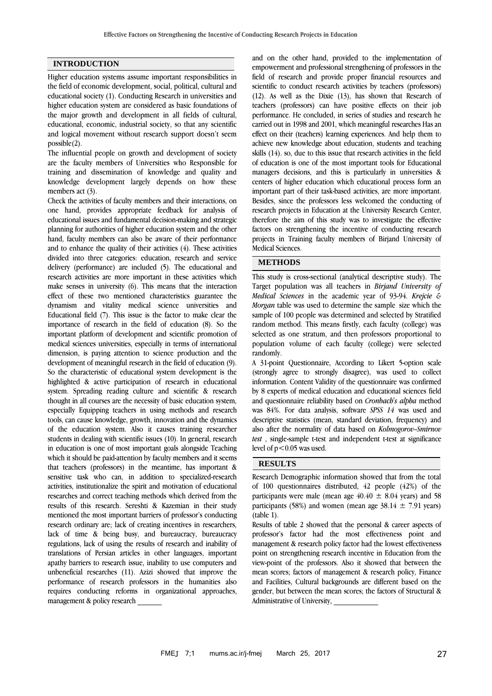#### **INTRODUCTION**

Higher education systems assume important responsibilities in the field of economic development, social, political, cultural and educational society (1). Conducting Research in universities and higher education system are considered as basic foundations of the major growth and development in all fields of cultural, educational, economic, industrial society, so that any scientific and logical movement without research support doesn't seem possible(2).

The influential people on growth and development of society are the faculty members of Universities who Responsible for training and dissemination of knowledge and quality and knowledge development largely depends on how these members act (3).

Check the activities of faculty members and their interactions, on one hand, provides appropriate feedback for analysis of educational issues and fundamental decision-making and strategic planning for authorities of higher education system and the other hand, faculty members can also be aware of their performance and to enhance the quality of their activities (4). These activities divided into three categories: education, research and service delivery (performance) are included (5). The educational and research activities are more important in these activities which make senses in university (6). This means that the interaction effect of these two mentioned characteristics guarantee the dynamism and vitality medical science universities and Educational field (7). This issue is the factor to make clear the importance of research in the field of education (8). So the important platform of development and scientific promotion of medical sciences universities, especially in terms of international dimension, is paying attention to science production and the development of meaningful research in the field of education (9). So the characteristic of educational system development is the highlighted & active participation of research in educational system. Spreading reading culture and scientific & research thought in all courses are the necessity of basic education system, especially Equipping teachers in using methods and research tools, can cause knowledge, growth, innovation and the dynamics of the education system. Also it causes training researcher students in dealing with scientific issues (10). In general, research in education is one of most important goals alongside Teaching which it should be paid-attention by faculty members and it seems that teachers (professors) in the meantime, has important & sensitive task who can, in addition to specialized-research activities, institutionalize the spirit and motivation of educational researches and correct teaching methods which derived from the results of this research. Sereshti & Kazemian in their study mentioned the most important barriers of professor's conducting research ordinary are; lack of creating incentives in researchers, lack of time & being busy, and bureaucracy, bureaucracy regulations, lack of using the results of research and inability of translations of Persian articles in other languages, important apathy barriers to research issue, inability to use computers and unbeneficial researches (11). Azizi showed that improve the performance of research professors in the humanities also requires conducting reforms in organizational approaches, management & policy research

and on the other hand, provided to the implementation of empowerment and professional strengthening of professors in the field of research and provide proper financial resources and scientific to conduct research activities by teachers (professors) (12). As well as the Dixie (13), has shown that Research of teachers (professors) can have positive effects on their job performance. He concluded, in series of studies and research he carried out in 1998 and 2001, which meaningful researches Has an effect on their (teachers) learning experiences. And help them to achieve new knowledge about education, students and teaching skills (14). so, due to this issue that research activities in the field of education is one of the most important tools for Educational managers decisions, and this is particularly in universities & centers of higher education which educational process form an important part of their task-based activities, are more important. Besides, since the professors less welcomed the conducting of research projects in Education at the University Research Center, therefore the aim of this study was to investigate the effective factors on strengthening the incentive of conducting research projects in Training faculty members of Birjand University of Medical Sciences.

#### **METHODS**

This study is cross-sectional (analytical descriptive study). The Target population was all teachers in *Birjand University of Medical Sciences* in the academic year of 93-94. *Krejcie & Morgan* table was used to determine the sample size which the sample of 100 people was determined and selected by Stratified random method. This means firstly, each faculty (college) was selected as one stratum, and then professors proportional to population volume of each faculty (college) were selected randomly.

A 31-point Questionnaire, According to Likert 5-option scale (strongly agree to strongly disagree), was used to collect information. Content Validity of the questionnaire was confirmed by 8 experts of medical education and educational sciences field and questionnaire reliability based on *Cronbach's alpha* method was 84%. For data analysis, software *SPSS 14* was used and descriptive statistics (mean, standard deviation, frequency) and also after the normality of data based on *Kolmogorov–Smirnov test* , single-sample t-test and independent t-test at significance level of  $p < 0.05$  was used.

### **RESULTS**

Research Demographic information showed that from the total of 100 questionnaires distributed, 42 people (42%) of the participants were male (mean age  $40.40 \pm 8.04$  years) and 58 participants (58%) and women (mean age  $38.14 \pm 7.91$  years) (table 1).

Results of table 2 showed that the personal & career aspects of professor's factor had the most effectiveness point and management & research policy factor had the lowest effectiveness point on strengthening research incentive in Education from the view-point of the professors. Also it showed that between the mean scores; factors of management & research policy, Finance and Facilities, Cultural backgrounds are different based on the gender, but between the mean scores; the factors of Structural & Administrative of University, \_\_\_\_\_\_\_\_\_\_\_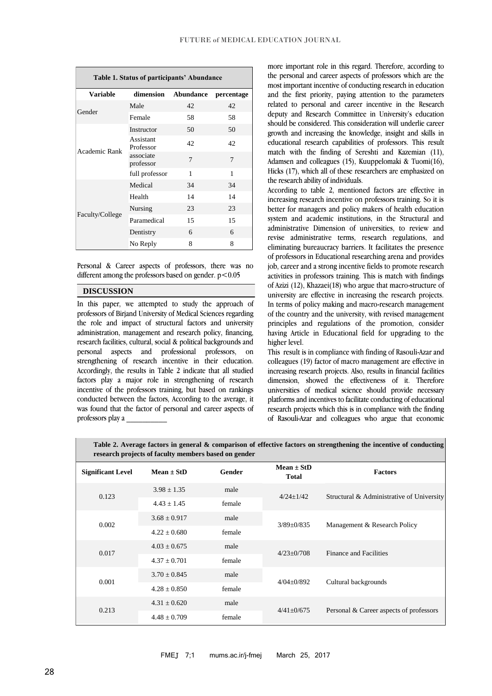| Table 1. Status of participants' Abundance |                        |              |            |  |  |  |
|--------------------------------------------|------------------------|--------------|------------|--|--|--|
| <b>Variable</b>                            | dimension              | Abundance    | percentage |  |  |  |
| Gender                                     | Male                   | 42           | 42         |  |  |  |
|                                            | Female                 | 58           | 58         |  |  |  |
| Academic Rank                              | Instructor             | 50           | 50         |  |  |  |
|                                            | Assistant<br>Professor | 42           | 42         |  |  |  |
|                                            | associate<br>professor | 7            | 7          |  |  |  |
|                                            | full professor         | $\mathbf{1}$ | 1          |  |  |  |
| Faculty/College                            | Medical                | 34           | 34         |  |  |  |
|                                            | Health                 | 14           | 14         |  |  |  |
|                                            | Nursing                | 23           | 23         |  |  |  |
|                                            | Paramedical            | 15           | 15         |  |  |  |
|                                            | Dentistry              | 6            | 6          |  |  |  |
|                                            | No Reply               | 8            | 8          |  |  |  |

Personal & Career aspects of professors, there was no different among the professors based on gender.  $p < 0.05$ 

### **DISCUSSION**

In this paper, we attempted to study the approach of professors of Birjand University of Medical Sciences regarding the role and impact of structural factors and university administration, management and research policy, financing, research facilities, cultural, social & political backgrounds and personal aspects and professional professors, on strengthening of research incentive in their education. Accordingly, the results in Table 2 indicate that all studied factors play a major role in strengthening of research incentive of the professors training, but based on rankings conducted between the factors, According to the average, it was found that the factor of personal and career aspects of professors play a \_\_\_\_\_\_\_\_\_\_

more important role in this regard. Therefore, according to the personal and career aspects of professors which are the most important incentive of conducting research in education and the first priority, paying attention to the parameters related to personal and career incentive in the Research deputy and Research Committee in University's education should be considered. This consideration will underlie career growth and increasing the knowledge, insight and skills in educational research capabilities of professors. This result match with the finding of Sereshti and Kazemian (11), Adamsen and colleagues (15), Kuuppelomaki & Tuomi(16), Hicks (17), which all of these researchers are emphasized on the research ability of individuals.

According to table 2, mentioned factors are effective in increasing research incentive on professors training. So it is better for managers and policy makers of health education system and academic institutions, in the Structural and administrative Dimension of universities, to review and revise administrative terms, research regulations, and eliminating bureaucracy barriers. It facilitates the presence of professors in Educational researching arena and provides job, career and a strong incentive fields to promote research activities in professors training. This is match with findings of Azizi (12), Khazaei(18) who argue that macro-structure of university are effective in increasing the research projects. In terms of policy making and macro-research management of the country and the university, with revised management principles and regulations of the promotion, consider having Article in Educational field for upgrading to the higher level.

This result is in compliance with finding of Rasouli-Azar and colleagues (19) factor of macro management are effective in increasing research projects. Also, results in financial facilities dimension, showed the effectiveness of it. Therefore universities of medical science should provide necessary platforms and incentives to facilitate conducting of educational research projects which this is in compliance with the finding of Rasouli-Azar and colleagues who argue that economic

**Table 2. Average factors in general & comparison of effective factors on strengthening the incentive of conducting research projects of faculty members based on gender**

| <b>Significant Level</b> | $Mean \pm StD$   | <b>Gender</b> | Mean $\pm$ StD<br><b>Total</b> | <b>Factors</b>                            |
|--------------------------|------------------|---------------|--------------------------------|-------------------------------------------|
| 0.123                    | $3.98 \pm 1.35$  | male          | $4/24+1/42$                    | Structural & Administrative of University |
|                          | $4.43 \pm 1.45$  | female        |                                |                                           |
| 0.002                    | $3.68 \pm 0.917$ | male          | $3/89 \pm 0/835$               | Management & Research Policy              |
|                          | $4.22 \pm 0.680$ | female        |                                |                                           |
| 0.017                    | $4.03 \pm 0.675$ | male          | $4/23+0/708$                   | Finance and Facilities                    |
|                          | $4.37 \pm 0.701$ | female        |                                |                                           |
| 0.001                    | $3.70 \pm 0.845$ | male          | $4/04+0/892$                   | Cultural backgrounds                      |
|                          | $4.28 + 0.850$   | female        |                                |                                           |
| 0.213                    | $4.31 \pm 0.620$ | male          | $4/41 \pm 0/675$               | Personal & Career aspects of professors   |
|                          | $4.48 \pm 0.709$ | female        |                                |                                           |